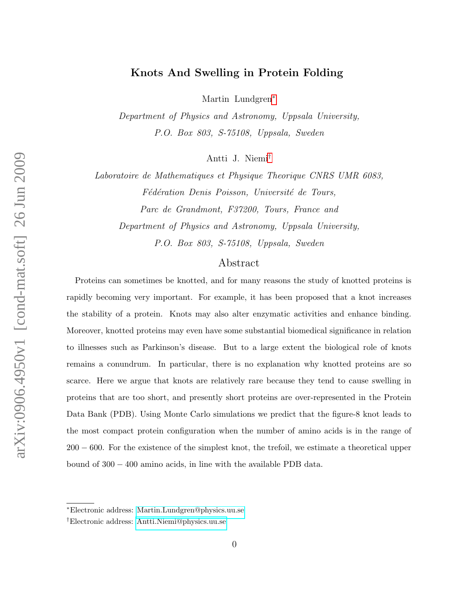# Knots And Swelling in Protein Folding

Martin Lundgren[∗](#page-0-0)

Department of Physics and Astronomy, Uppsala University, P.O. Box 803, S-75108, Uppsala, Sweden

Antti J. Niemi[†](#page-0-1)

Laboratoire de Mathematiques et Physique Theorique CNRS UMR 6083, Fédération Denis Poisson, Université de Tours, Parc de Grandmont, F37200, Tours, France and Department of Physics and Astronomy, Uppsala University, P.O. Box 803, S-75108, Uppsala, Sweden

# Abstract

Proteins can sometimes be knotted, and for many reasons the study of knotted proteins is rapidly becoming very important. For example, it has been proposed that a knot increases the stability of a protein. Knots may also alter enzymatic activities and enhance binding. Moreover, knotted proteins may even have some substantial biomedical significance in relation to illnesses such as Parkinson's disease. But to a large extent the biological role of knots remains a conundrum. In particular, there is no explanation why knotted proteins are so scarce. Here we argue that knots are relatively rare because they tend to cause swelling in proteins that are too short, and presently short proteins are over-represented in the Protein Data Bank (PDB). Using Monte Carlo simulations we predict that the figure-8 knot leads to the most compact protein configuration when the number of amino acids is in the range of 200 − 600. For the existence of the simplest knot, the trefoil, we estimate a theoretical upper bound of 300 − 400 amino acids, in line with the available PDB data.

<span id="page-0-1"></span><span id="page-0-0"></span><sup>∗</sup>Electronic address: [Martin.Lundgren@physics.uu.se](mailto:Martin.Lundgren@physics.uu.se)

<sup>†</sup>Electronic address: [Antti.Niemi@physics.uu.se](mailto:Antti.Niemi@physics.uu.se)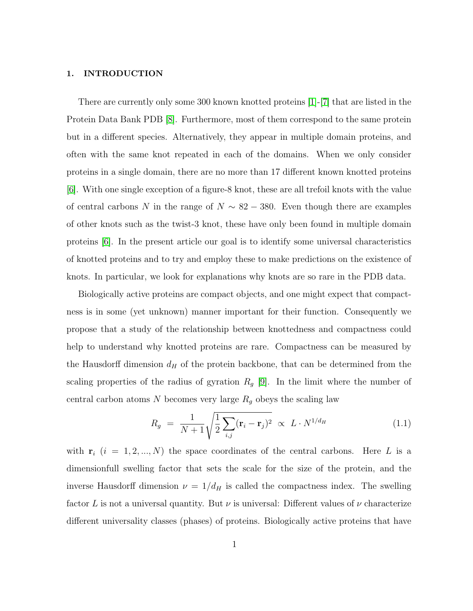### 1. INTRODUCTION

There are currently only some 300 known knotted proteins [\[1\]](#page-11-0)-[\[7\]](#page-11-1) that are listed in the Protein Data Bank PDB [\[8\]](#page-11-2). Furthermore, most of them correspond to the same protein but in a different species. Alternatively, they appear in multiple domain proteins, and often with the same knot repeated in each of the domains. When we only consider proteins in a single domain, there are no more than 17 different known knotted proteins [\[6\]](#page-11-3). With one single exception of a figure-8 knot, these are all trefoil knots with the value of central carbons N in the range of  $N \sim 82 - 380$ . Even though there are examples of other knots such as the twist-3 knot, these have only been found in multiple domain proteins [\[6\]](#page-11-3). In the present article our goal is to identify some universal characteristics of knotted proteins and to try and employ these to make predictions on the existence of knots. In particular, we look for explanations why knots are so rare in the PDB data.

Biologically active proteins are compact objects, and one might expect that compactness is in some (yet unknown) manner important for their function. Consequently we propose that a study of the relationship between knottedness and compactness could help to understand why knotted proteins are rare. Compactness can be measured by the Hausdorff dimension  $d_H$  of the protein backbone, that can be determined from the scaling properties of the radius of gyration  $R<sub>g</sub>$  [\[9\]](#page-11-4). In the limit where the number of central carbon atoms N becomes very large  $R_g$  obeys the scaling law

<span id="page-1-0"></span>
$$
R_g = \frac{1}{N+1} \sqrt{\frac{1}{2} \sum_{i,j} (\mathbf{r}_i - \mathbf{r}_j)^2} \propto L \cdot N^{1/d_H}
$$
 (1.1)

with  $\mathbf{r}_i$  (i = 1, 2, ..., N) the space coordinates of the central carbons. Here L is a dimensionfull swelling factor that sets the scale for the size of the protein, and the inverse Hausdorff dimension  $\nu = 1/d_H$  is called the compactness index. The swelling factor L is not a universal quantity. But  $\nu$  is universal: Different values of  $\nu$  characterize different universality classes (phases) of proteins. Biologically active proteins that have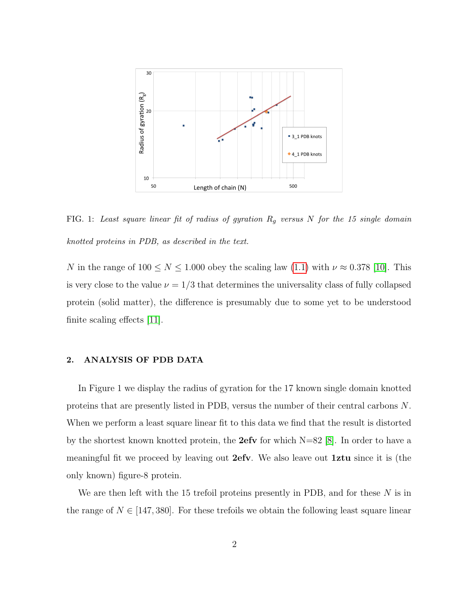

FIG. 1: Least square linear fit of radius of gyration  $R_g$  versus N for the 15 single domain knotted proteins in PDB, as described in the text.

N in the range of  $100 \le N \le 1.000$  obey the scaling law  $(1.1)$  with  $\nu \approx 0.378$  [\[10\]](#page-11-5). This is very close to the value  $\nu = 1/3$  that determines the universality class of fully collapsed protein (solid matter), the difference is presumably due to some yet to be understood finite scaling effects [\[11\]](#page-12-0).

## 2. ANALYSIS OF PDB DATA

In Figure 1 we display the radius of gyration for the 17 known single domain knotted proteins that are presently listed in PDB, versus the number of their central carbons N. When we perform a least square linear fit to this data we find that the result is distorted by the shortest known knotted protein, the **2efv** for which  $N=82$  [\[8\]](#page-11-2). In order to have a meaningful fit we proceed by leaving out 2efv. We also leave out 1ztu since it is (the only known) figure-8 protein.

We are then left with the 15 trefoil proteins presently in PDB, and for these N is in the range of  $N \in [147, 380]$ . For these trefoils we obtain the following least square linear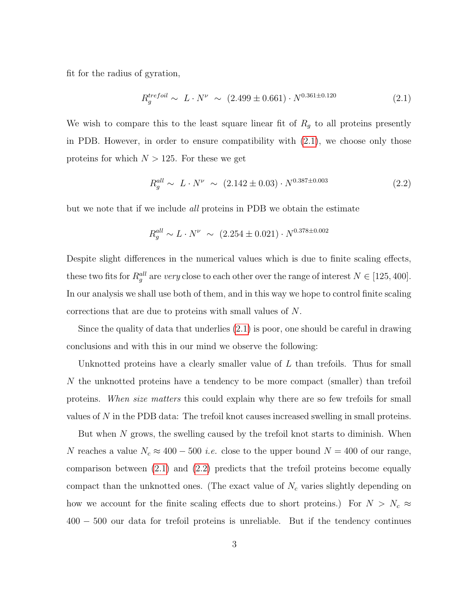fit for the radius of gyration,

<span id="page-3-0"></span>
$$
R_g^{trefoil} \sim L \cdot N^{\nu} \sim (2.499 \pm 0.661) \cdot N^{0.361 \pm 0.120}
$$
 (2.1)

We wish to compare this to the least square linear fit of  $R<sub>g</sub>$  to all proteins presently in PDB. However, in order to ensure compatibility with [\(2.1\)](#page-3-0), we choose only those proteins for which  $N > 125$ . For these we get

<span id="page-3-1"></span>
$$
R_g^{all} \sim L \cdot N^{\nu} \sim (2.142 \pm 0.03) \cdot N^{0.387 \pm 0.003}
$$
 (2.2)

but we note that if we include *all* proteins in PDB we obtain the estimate

$$
R_g^{all} \sim L \cdot N^{\nu} \sim (2.254 \pm 0.021) \cdot N^{0.378 \pm 0.002}
$$

Despite slight differences in the numerical values which is due to finite scaling effects, these two fits for  $R_g^{all}$  are very close to each other over the range of interest  $N \in [125, 400]$ . In our analysis we shall use both of them, and in this way we hope to control finite scaling corrections that are due to proteins with small values of N.

Since the quality of data that underlies [\(2.1\)](#page-3-0) is poor, one should be careful in drawing conclusions and with this in our mind we observe the following:

Unknotted proteins have a clearly smaller value of  $L$  than trefoils. Thus for small N the unknotted proteins have a tendency to be more compact (smaller) than trefoil proteins. When size matters this could explain why there are so few trefoils for small values of N in the PDB data: The trefoil knot causes increased swelling in small proteins.

But when N grows, the swelling caused by the trefoil knot starts to diminish. When N reaches a value  $N_c \approx 400 - 500$  *i.e.* close to the upper bound  $N = 400$  of our range, comparison between [\(2.1\)](#page-3-0) and [\(2.2\)](#page-3-1) predicts that the trefoil proteins become equally compact than the unknotted ones. (The exact value of  $N_c$  varies slightly depending on how we account for the finite scaling effects due to short proteins.) For  $N > N_c \approx$ 400 − 500 our data for trefoil proteins is unreliable. But if the tendency continues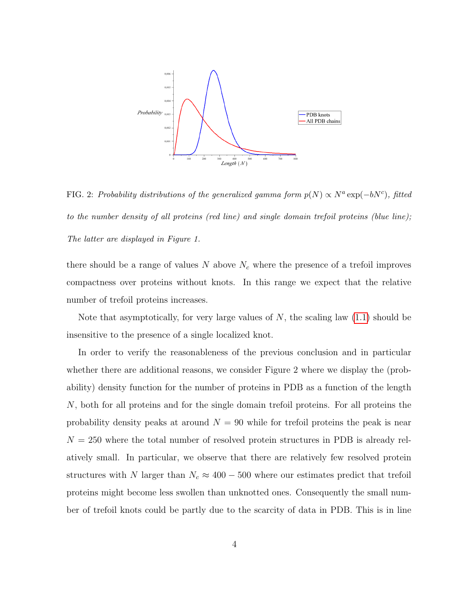

FIG. 2: Probability distributions of the generalized gamma form  $p(N) \propto N^a \exp(-bN^c)$ , fitted to the number density of all proteins (red line) and single domain trefoil proteins (blue line); The latter are displayed in Figure 1.

there should be a range of values  $N$  above  $N_c$  where the presence of a trefoil improves compactness over proteins without knots. In this range we expect that the relative number of trefoil proteins increases.

Note that asymptotically, for very large values of  $N$ , the scaling law  $(1.1)$  should be insensitive to the presence of a single localized knot.

In order to verify the reasonableness of the previous conclusion and in particular whether there are additional reasons, we consider Figure 2 where we display the (probability) density function for the number of proteins in PDB as a function of the length N, both for all proteins and for the single domain trefoil proteins. For all proteins the probability density peaks at around  $N = 90$  while for trefoil proteins the peak is near  $N = 250$  where the total number of resolved protein structures in PDB is already relatively small. In particular, we observe that there are relatively few resolved protein structures with N larger than  $N_c \approx 400 - 500$  where our estimates predict that trefoil proteins might become less swollen than unknotted ones. Consequently the small number of trefoil knots could be partly due to the scarcity of data in PDB. This is in line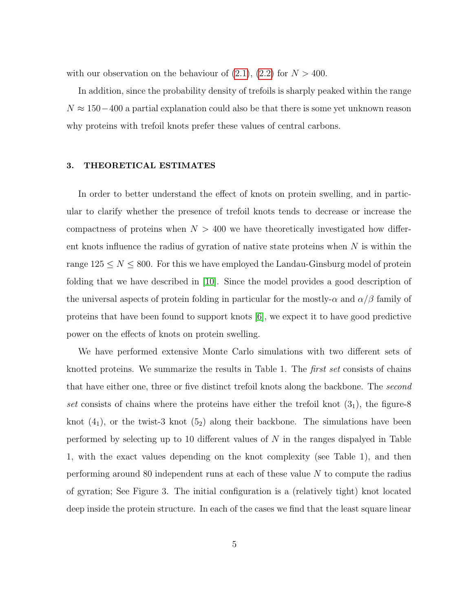with our observation on the behaviour of  $(2.1)$ ,  $(2.2)$  for  $N > 400$ .

In addition, since the probability density of trefoils is sharply peaked within the range  $N \approx 150-400$  a partial explanation could also be that there is some yet unknown reason why proteins with trefoil knots prefer these values of central carbons.

### 3. THEORETICAL ESTIMATES

In order to better understand the effect of knots on protein swelling, and in particular to clarify whether the presence of trefoil knots tends to decrease or increase the compactness of proteins when  $N > 400$  we have theoretically investigated how different knots influence the radius of gyration of native state proteins when  $N$  is within the range  $125 \leq N \leq 800$ . For this we have employed the Landau-Ginsburg model of protein folding that we have described in [\[10\]](#page-11-5). Since the model provides a good description of the universal aspects of protein folding in particular for the mostly- $\alpha$  and  $\alpha/\beta$  family of proteins that have been found to support knots [\[6\]](#page-11-3), we expect it to have good predictive power on the effects of knots on protein swelling.

We have performed extensive Monte Carlo simulations with two different sets of knotted proteins. We summarize the results in Table 1. The *first set* consists of chains that have either one, three or five distinct trefoil knots along the backbone. The second set consists of chains where the proteins have either the trefoil knot  $(3<sub>1</sub>)$ , the figure-8 knot  $(4_1)$ , or the twist-3 knot  $(5_2)$  along their backbone. The simulations have been performed by selecting up to 10 different values of  $N$  in the ranges dispalyed in Table 1, with the exact values depending on the knot complexity (see Table 1), and then performing around 80 independent runs at each of these value N to compute the radius of gyration; See Figure 3. The initial configuration is a (relatively tight) knot located deep inside the protein structure. In each of the cases we find that the least square linear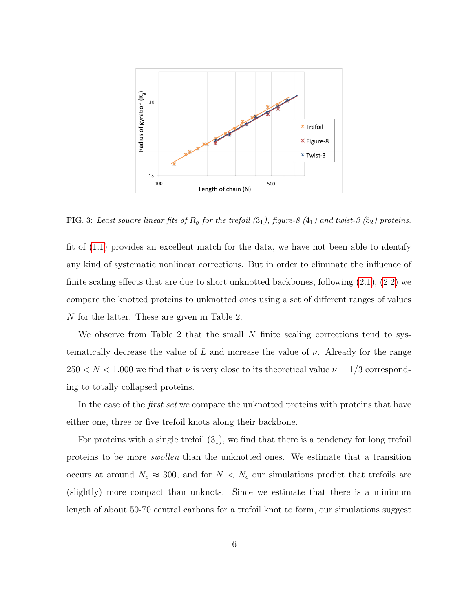

FIG. 3: Least square linear fits of  $R_g$  for the trefoil  $(3_1)$ , figure-8  $(4_1)$  and twist-3  $(5_2)$  proteins.

fit of [\(1.1\)](#page-1-0) provides an excellent match for the data, we have not been able to identify any kind of systematic nonlinear corrections. But in order to eliminate the influence of finite scaling effects that are due to short unknotted backbones, following [\(2.1\)](#page-3-0), [\(2.2\)](#page-3-1) we compare the knotted proteins to unknotted ones using a set of different ranges of values N for the latter. These are given in Table 2.

We observe from Table 2 that the small  $N$  finite scaling corrections tend to systematically decrease the value of L and increase the value of  $\nu$ . Already for the range  $250 < N < 1.000$  we find that  $\nu$  is very close to its theoretical value  $\nu = 1/3$  corresponding to totally collapsed proteins.

In the case of the *first set* we compare the unknotted proteins with proteins that have either one, three or five trefoil knots along their backbone.

For proteins with a single trefoil  $(3<sub>1</sub>)$ , we find that there is a tendency for long trefoil proteins to be more swollen than the unknotted ones. We estimate that a transition occurs at around  $N_c \approx 300$ , and for  $N < N_c$  our simulations predict that trefoils are (slightly) more compact than unknots. Since we estimate that there is a minimum length of about 50-70 central carbons for a trefoil knot to form, our simulations suggest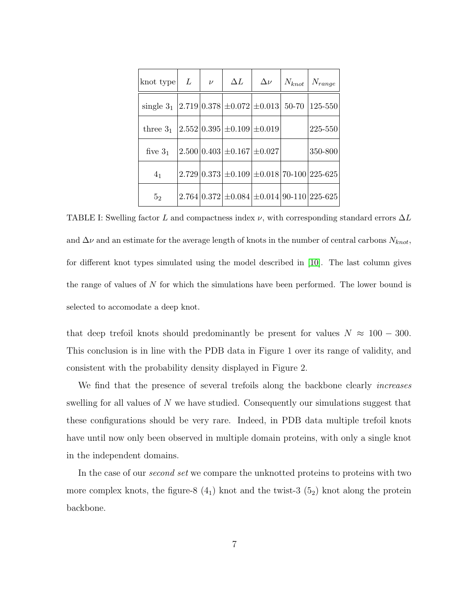| $ \text{knot type} $ $L$                                           | $\nu$ | $\Delta L$                         |  | $\Delta \nu$   $N_{knot}$   $N_{range}$                                       |
|--------------------------------------------------------------------|-------|------------------------------------|--|-------------------------------------------------------------------------------|
| single $3_1  2.719 0.378  \pm 0.072   \pm 0.013   50-70   125-550$ |       |                                    |  |                                                                               |
| three $3_1$   2.552   0.395   $\pm$ 0.109   $\pm$ 0.019            |       |                                    |  | 225-550                                                                       |
| five $31$                                                          |       | $2.500 0.403 \pm 0.167 \pm 0.027 $ |  | 350-800                                                                       |
| 4 <sub>1</sub>                                                     |       |                                    |  | $2.729 \mid 0.373 \mid \pm 0.109 \mid \pm 0.018 \mid 70 - 100 \mid 225 - 625$ |
| 5 <sub>2</sub>                                                     |       |                                    |  | $2.764 0.372 \pm 0.084 \pm 0.014 90-110 225-625 $                             |

TABLE I: Swelling factor L and compactness index  $\nu$ , with corresponding standard errors  $\Delta L$ and  $\Delta \nu$  and an estimate for the average length of knots in the number of central carbons  $N_{knot}$ , for different knot types simulated using the model described in [\[10\]](#page-11-5). The last column gives the range of values of N for which the simulations have been performed. The lower bound is selected to accomodate a deep knot.

that deep trefoil knots should predominantly be present for values  $N \approx 100 - 300$ . This conclusion is in line with the PDB data in Figure 1 over its range of validity, and consistent with the probability density displayed in Figure 2.

We find that the presence of several trefoils along the backbone clearly *increases* swelling for all values of N we have studied. Consequently our simulations suggest that these configurations should be very rare. Indeed, in PDB data multiple trefoil knots have until now only been observed in multiple domain proteins, with only a single knot in the independent domains.

In the case of our *second set* we compare the unknotted proteins to proteins with two more complex knots, the figure-8  $(4<sub>1</sub>)$  knot and the twist-3  $(5<sub>2</sub>)$  knot along the protein backbone.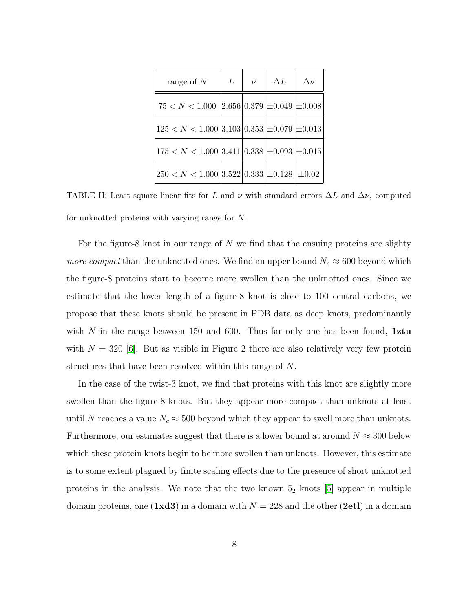| range of $N$                                                                           | L | $\nu$ | $\Delta L$ | $\Delta \nu$ |
|----------------------------------------------------------------------------------------|---|-------|------------|--------------|
| $75 < N < 1.000$ $\left  2.656 \right  0.379 \left  \pm 0.049 \right  \pm 0.008$       |   |       |            |              |
| $125 < N < 1.000   3.103   0.353   \pm 0.079   \pm 0.013$                              |   |       |            |              |
| $\left 175 < N < 1.000\right 3.411\left 0.338\right  \pm 0.093\left  \pm 0.015\right $ |   |       |            |              |
| $\vert 250 < N < 1.000 \vert 3.522 \vert 0.333 \vert \pm 0.128 \vert \pm 0.02$         |   |       |            |              |

TABLE II: Least square linear fits for L and  $\nu$  with standard errors  $\Delta L$  and  $\Delta \nu$ , computed for unknotted proteins with varying range for N.

For the figure-8 knot in our range of  $N$  we find that the ensuing proteins are slighty *more compact* than the unknotted ones. We find an upper bound  $N_c \approx 600$  beyond which the figure-8 proteins start to become more swollen than the unknotted ones. Since we estimate that the lower length of a figure-8 knot is close to 100 central carbons, we propose that these knots should be present in PDB data as deep knots, predominantly with N in the range between 150 and 600. Thus far only one has been found,  $1ztu$ with  $N = 320$  [\[6\]](#page-11-3). But as visible in Figure 2 there are also relatively very few protein structures that have been resolved within this range of N.

In the case of the twist-3 knot, we find that proteins with this knot are slightly more swollen than the figure-8 knots. But they appear more compact than unknots at least until N reaches a value  $N_c \approx 500$  beyond which they appear to swell more than unknots. Furthermore, our estimates suggest that there is a lower bound at around  $N \approx 300$  below which these protein knots begin to be more swollen than unknots. However, this estimate is to some extent plagued by finite scaling effects due to the presence of short unknotted proteins in the analysis. We note that the two known  $5<sub>2</sub>$  knots [\[5\]](#page-11-6) appear in multiple domain proteins, one (1xd3) in a domain with  $N = 228$  and the other (2et1) in a domain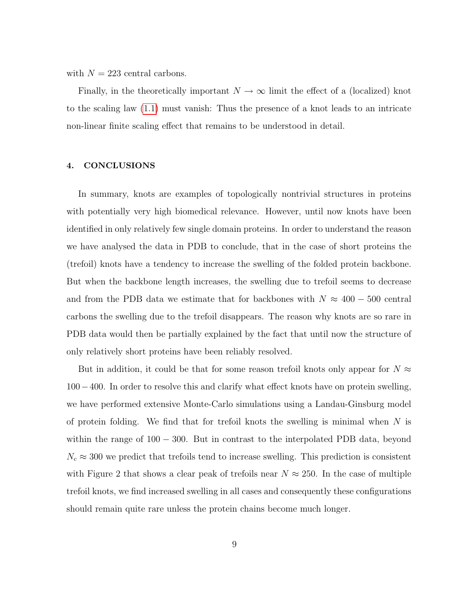with  $N = 223$  central carbons.

Finally, in the theoretically important  $N \to \infty$  limit the effect of a (localized) knot to the scaling law [\(1.1\)](#page-1-0) must vanish: Thus the presence of a knot leads to an intricate non-linear finite scaling effect that remains to be understood in detail.

# 4. CONCLUSIONS

In summary, knots are examples of topologically nontrivial structures in proteins with potentially very high biomedical relevance. However, until now knots have been identified in only relatively few single domain proteins. In order to understand the reason we have analysed the data in PDB to conclude, that in the case of short proteins the (trefoil) knots have a tendency to increase the swelling of the folded protein backbone. But when the backbone length increases, the swelling due to trefoil seems to decrease and from the PDB data we estimate that for backbones with  $N \approx 400 - 500$  central carbons the swelling due to the trefoil disappears. The reason why knots are so rare in PDB data would then be partially explained by the fact that until now the structure of only relatively short proteins have been reliably resolved.

But in addition, it could be that for some reason trefoil knots only appear for  $N \approx$ 100−400. In order to resolve this and clarify what effect knots have on protein swelling, we have performed extensive Monte-Carlo simulations using a Landau-Ginsburg model of protein folding. We find that for trefoil knots the swelling is minimal when  $N$  is within the range of  $100 - 300$ . But in contrast to the interpolated PDB data, beyond  $N_c \approx 300$  we predict that trefoils tend to increase swelling. This prediction is consistent with Figure 2 that shows a clear peak of trefoils near  $N \approx 250$ . In the case of multiple trefoil knots, we find increased swelling in all cases and consequently these configurations should remain quite rare unless the protein chains become much longer.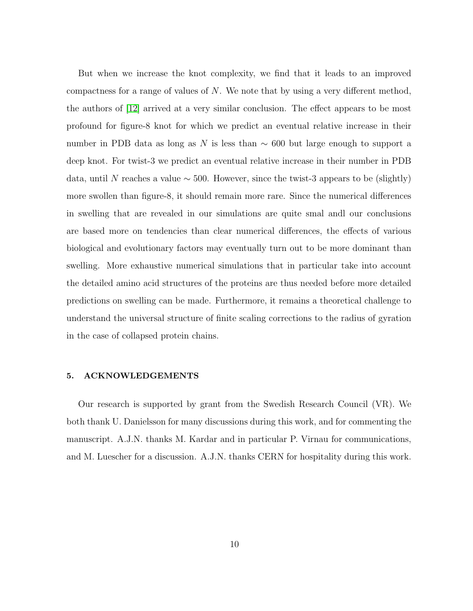But when we increase the knot complexity, we find that it leads to an improved compactness for a range of values of  $N$ . We note that by using a very different method, the authors of [\[12\]](#page-12-1) arrived at a very similar conclusion. The effect appears to be most profound for figure-8 knot for which we predict an eventual relative increase in their number in PDB data as long as N is less than  $\sim$  600 but large enough to support a deep knot. For twist-3 we predict an eventual relative increase in their number in PDB data, until N reaches a value  $\sim$  500. However, since the twist-3 appears to be (slightly) more swollen than figure-8, it should remain more rare. Since the numerical differences in swelling that are revealed in our simulations are quite smal andl our conclusions are based more on tendencies than clear numerical differences, the effects of various biological and evolutionary factors may eventually turn out to be more dominant than swelling. More exhaustive numerical simulations that in particular take into account the detailed amino acid structures of the proteins are thus needed before more detailed predictions on swelling can be made. Furthermore, it remains a theoretical challenge to understand the universal structure of finite scaling corrections to the radius of gyration in the case of collapsed protein chains.

### 5. ACKNOWLEDGEMENTS

Our research is supported by grant from the Swedish Research Council (VR). We both thank U. Danielsson for many discussions during this work, and for commenting the manuscript. A.J.N. thanks M. Kardar and in particular P. Virnau for communications, and M. Luescher for a discussion. A.J.N. thanks CERN for hospitality during this work.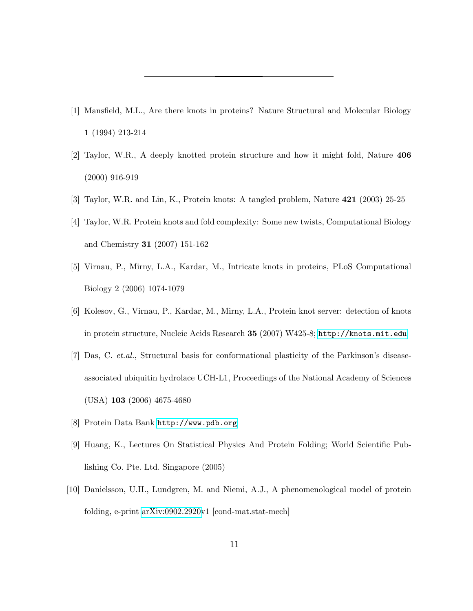- <span id="page-11-0"></span>[1] Mansfield, M.L., Are there knots in proteins? Nature Structural and Molecular Biology 1 (1994) 213-214
- [2] Taylor, W.R., A deeply knotted protein structure and how it might fold, Nature 406 (2000) 916-919
- [3] Taylor, W.R. and Lin, K., Protein knots: A tangled problem, Nature 421 (2003) 25-25
- [4] Taylor, W.R. Protein knots and fold complexity: Some new twists, Computational Biology and Chemistry 31 (2007) 151-162
- <span id="page-11-6"></span>[5] Virnau, P., Mirny, L.A., Kardar, M., Intricate knots in proteins, PLoS Computational Biology 2 (2006) 1074-1079
- <span id="page-11-3"></span>[6] Kolesov, G., Virnau, P., Kardar, M., Mirny, L.A., Protein knot server: detection of knots in protein structure, Nucleic Acids Research 35 (2007) W425-8; <http://knots.mit.edu>
- <span id="page-11-1"></span>[7] Das, C. et.al., Structural basis for conformational plasticity of the Parkinson's diseaseassociated ubiquitin hydrolace UCH-L1, Proceedings of the National Academy of Sciences (USA) 103 (2006) 4675-4680
- <span id="page-11-4"></span><span id="page-11-2"></span>[8] Protein Data Bank <http://www.pdb.org>
- [9] Huang, K., Lectures On Statistical Physics And Protein Folding; World Scientific Publishing Co. Pte. Ltd. Singapore (2005)
- <span id="page-11-5"></span>[10] Danielsson, U.H., Lundgren, M. and Niemi, A.J., A phenomenological model of protein folding, e-print [arXiv:0902.2920v](http://arxiv.org/abs/0902.2920)1 [cond-mat.stat-mech]